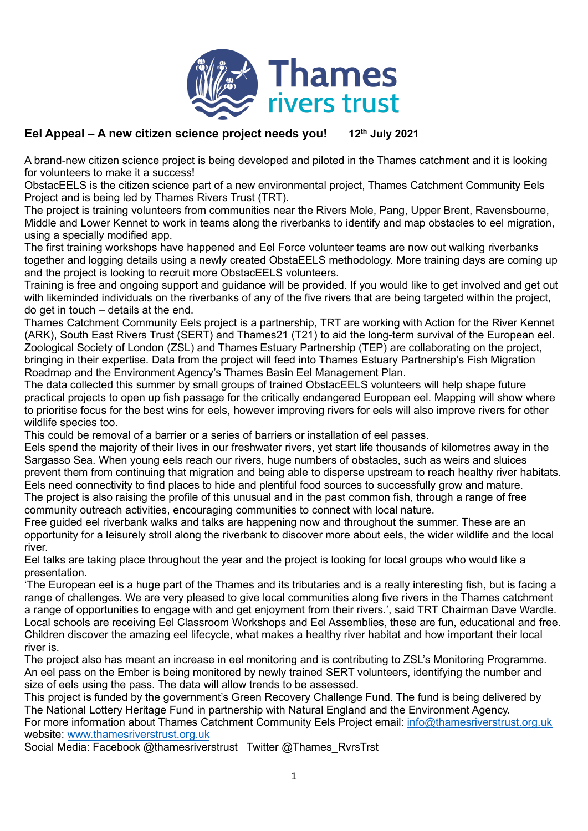

## **Eel Appeal – A new citizen science project needs you! 12 th July 2021**

A brand-new citizen science project is being developed and piloted in the Thames catchment and it is looking for volunteers to make it a success!

ObstacEELS is the citizen science part of a new environmental project, Thames Catchment Community Eels Project and is being led by Thames Rivers Trust (TRT).

The project is training volunteers from communities near the Rivers Mole, Pang, Upper Brent, Ravensbourne, Middle and Lower Kennet to work in teams along the riverbanks to identify and map obstacles to eel migration, using a specially modified app.

The first training workshops have happened and Eel Force volunteer teams are now out walking riverbanks together and logging details using a newly created ObstaEELS methodology. More training days are coming up and the project is looking to recruit more ObstacEELS volunteers.

Training is free and ongoing support and guidance will be provided. If you would like to get involved and get out with likeminded individuals on the riverbanks of any of the five rivers that are being targeted within the project, do get in touch – details at the end.

Thames Catchment Community Eels project is a partnership, TRT are working with Action for the River Kennet (ARK), South East Rivers Trust (SERT) and Thames21 (T21) to aid the long-term survival of the European eel. Zoological Society of London (ZSL) and Thames Estuary Partnership (TEP) are collaborating on the project, bringing in their expertise. Data from the project will feed into Thames Estuary Partnership's Fish Migration Roadmap and the Environment Agency's Thames Basin Eel Management Plan.

The data collected this summer by small groups of trained ObstacEELS volunteers will help shape future practical projects to open up fish passage for the critically endangered European eel. Mapping will show where to prioritise focus for the best wins for eels, however improving rivers for eels will also improve rivers for other wildlife species too.

This could be removal of a barrier or a series of barriers or installation of eel passes.

Eels spend the majority of their lives in our freshwater rivers, yet start life thousands of kilometres away in the Sargasso Sea. When young eels reach our rivers, huge numbers of obstacles, such as weirs and sluices prevent them from continuing that migration and being able to disperse upstream to reach healthy river habitats. Eels need connectivity to find places to hide and plentiful food sources to successfully grow and mature. The project is also raising the profile of this unusual and in the past common fish, through a range of free community outreach activities, encouraging communities to connect with local nature.

Free guided eel riverbank walks and talks are happening now and throughout the summer. These are an opportunity for a leisurely stroll along the riverbank to discover more about eels, the wider wildlife and the local river.

Eel talks are taking place throughout the year and the project is looking for local groups who would like a presentation.

'The European eel is a huge part of the Thames and its tributaries and is a really interesting fish, but is facing a range of challenges. We are very pleased to give local communities along five rivers in the Thames catchment a range of opportunities to engage with and get enjoyment from their rivers.', said TRT Chairman Dave Wardle. Local schools are receiving Eel Classroom Workshops and Eel Assemblies, these are fun, educational and free. Children discover the amazing eel lifecycle, what makes a healthy river habitat and how important their local river is.

The project also has meant an increase in eel monitoring and is contributing to ZSL's Monitoring Programme. An eel pass on the Ember is being monitored by newly trained SERT volunteers, identifying the number and size of eels using the pass. The data will allow trends to be assessed.

This project is funded by the government's Green Recovery Challenge Fund. The fund is being delivered by The National Lottery Heritage Fund in partnership with Natural England and the Environment Agency. For more information about Thames Catchment Community Eels Project email: [info@thamesriverstrust.org.uk](mailto:info@thamesriverstrust.org.uk)  website: [www.thamesriverstrust.org.uk](http://www.thamesriverstrust.org.uk/)

Social Media: Facebook @thamesriverstrust Twitter @Thames\_RvrsTrst